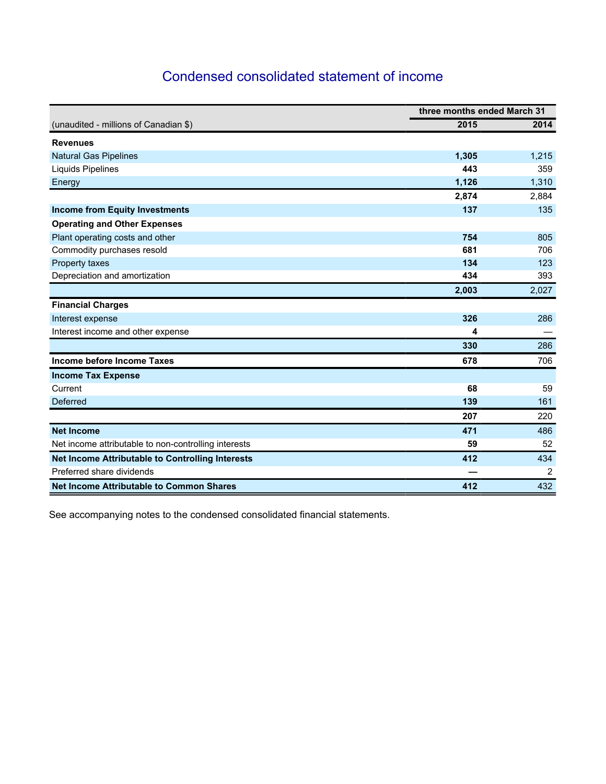# Condensed consolidated statement of income

|                                                      | three months ended March 31 |       |
|------------------------------------------------------|-----------------------------|-------|
| (unaudited - millions of Canadian \$)                | 2015                        | 2014  |
| <b>Revenues</b>                                      |                             |       |
| <b>Natural Gas Pipelines</b>                         | 1,305                       | 1,215 |
| <b>Liquids Pipelines</b>                             | 443                         | 359   |
| Energy                                               | 1,126                       | 1,310 |
|                                                      | 2,874                       | 2,884 |
| <b>Income from Equity Investments</b>                | 137                         | 135   |
| <b>Operating and Other Expenses</b>                  |                             |       |
| Plant operating costs and other                      | 754                         | 805   |
| Commodity purchases resold                           | 681                         | 706   |
| Property taxes                                       | 134                         | 123   |
| Depreciation and amortization                        | 434                         | 393   |
|                                                      | 2,003                       | 2,027 |
| <b>Financial Charges</b>                             |                             |       |
| Interest expense                                     | 326                         | 286   |
| Interest income and other expense                    | 4                           |       |
|                                                      | 330                         | 286   |
| Income before Income Taxes                           | 678                         | 706   |
| <b>Income Tax Expense</b>                            |                             |       |
| Current                                              | 68                          | 59    |
| Deferred                                             | 139                         | 161   |
|                                                      | 207                         | 220   |
| <b>Net Income</b>                                    | 471                         | 486   |
| Net income attributable to non-controlling interests | 59                          | 52    |
| Net Income Attributable to Controlling Interests     | 412                         | 434   |
| Preferred share dividends                            |                             | 2     |
| <b>Net Income Attributable to Common Shares</b>      | 412                         | 432   |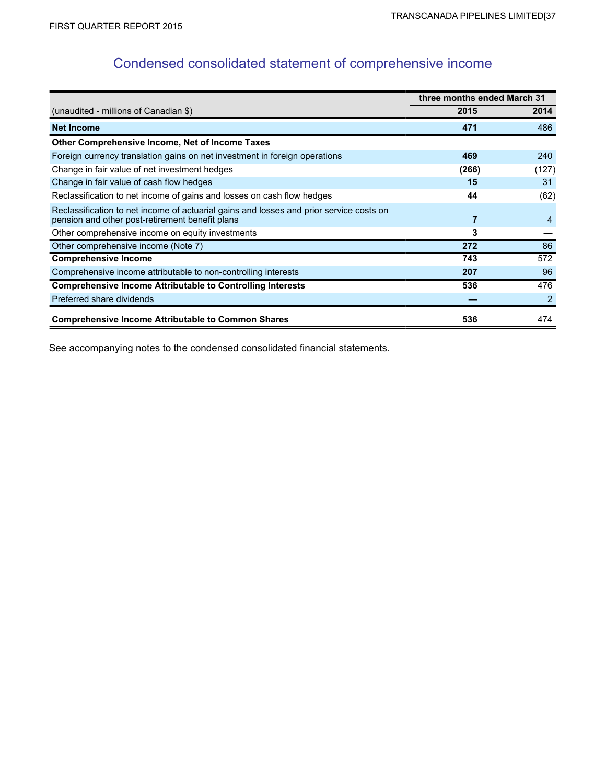# Condensed consolidated statement of comprehensive income

|                                                                                                                                            | three months ended March 31 |       |
|--------------------------------------------------------------------------------------------------------------------------------------------|-----------------------------|-------|
| (unaudited - millions of Canadian \$)                                                                                                      | 2015                        | 2014  |
| <b>Net Income</b>                                                                                                                          | 471                         | 486   |
| Other Comprehensive Income, Net of Income Taxes                                                                                            |                             |       |
| Foreign currency translation gains on net investment in foreign operations                                                                 | 469                         | 240   |
| Change in fair value of net investment hedges                                                                                              | (266)                       | (127) |
| Change in fair value of cash flow hedges                                                                                                   | 15                          | 31    |
| Reclassification to net income of gains and losses on cash flow hedges                                                                     | 44                          | (62)  |
| Reclassification to net income of actuarial gains and losses and prior service costs on<br>pension and other post-retirement benefit plans | 7                           | 4     |
| Other comprehensive income on equity investments                                                                                           | 3                           |       |
| Other comprehensive income (Note 7)                                                                                                        | 272                         | 86    |
| <b>Comprehensive Income</b>                                                                                                                | 743                         | 572   |
| Comprehensive income attributable to non-controlling interests                                                                             | 207                         | 96    |
| <b>Comprehensive Income Attributable to Controlling Interests</b>                                                                          | 536                         | 476   |
| Preferred share dividends                                                                                                                  |                             |       |
| <b>Comprehensive Income Attributable to Common Shares</b>                                                                                  | 536                         | 474   |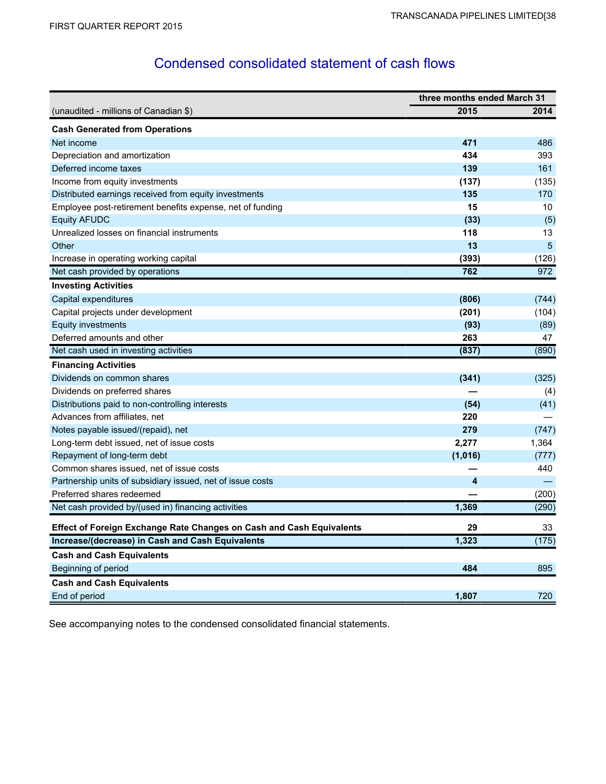# Condensed consolidated statement of cash flows

|                                                                      | three months ended March 31 |                |
|----------------------------------------------------------------------|-----------------------------|----------------|
| (unaudited - millions of Canadian \$)                                | 2015                        | 2014           |
| <b>Cash Generated from Operations</b>                                |                             |                |
| Net income                                                           | 471                         | 486            |
| Depreciation and amortization                                        | 434                         | 393            |
| Deferred income taxes                                                | 139                         | 161            |
| Income from equity investments                                       | (137)                       | (135)          |
| Distributed earnings received from equity investments                | 135                         | 170            |
| Employee post-retirement benefits expense, net of funding            | 15                          | 10             |
| <b>Equity AFUDC</b>                                                  | (33)                        | (5)            |
| Unrealized losses on financial instruments                           | 118                         | 13             |
| Other                                                                | 13                          | $\overline{5}$ |
| Increase in operating working capital                                | (393)                       | (126)          |
| Net cash provided by operations                                      | 762                         | 972            |
| <b>Investing Activities</b>                                          |                             |                |
| Capital expenditures                                                 | (806)                       | (744)          |
| Capital projects under development                                   | (201)                       | (104)          |
| <b>Equity investments</b>                                            | (93)                        | (89)           |
| Deferred amounts and other                                           | 263                         | 47             |
| Net cash used in investing activities                                | (837)                       | (890)          |
| <b>Financing Activities</b>                                          |                             |                |
| Dividends on common shares                                           | (341)                       | (325)          |
| Dividends on preferred shares                                        |                             | (4)            |
| Distributions paid to non-controlling interests                      | (54)                        | (41)           |
| Advances from affiliates, net                                        | 220                         |                |
| Notes payable issued/(repaid), net                                   | 279                         | (747)          |
| Long-term debt issued, net of issue costs                            | 2,277                       | 1,364          |
| Repayment of long-term debt                                          | (1,016)                     | (777)          |
| Common shares issued, net of issue costs                             |                             | 440            |
| Partnership units of subsidiary issued, net of issue costs           | 4                           |                |
| Preferred shares redeemed                                            |                             | (200)          |
| Net cash provided by/(used in) financing activities                  | 1,369                       | (290)          |
| Effect of Foreign Exchange Rate Changes on Cash and Cash Equivalents | 29                          | 33             |
| Increase/(decrease) in Cash and Cash Equivalents                     | 1,323                       | (175)          |
| <b>Cash and Cash Equivalents</b>                                     |                             |                |
| Beginning of period                                                  | 484                         | 895            |
| <b>Cash and Cash Equivalents</b>                                     |                             |                |
| End of period                                                        | 1,807                       | 720            |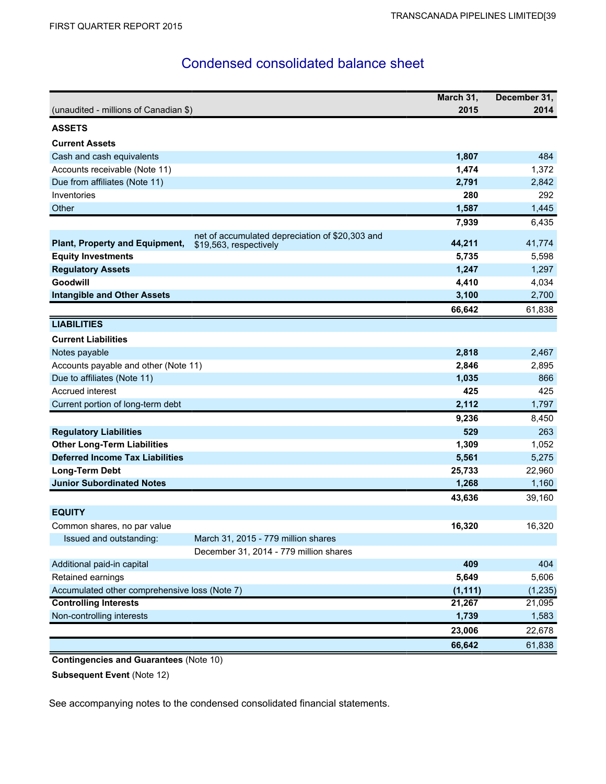# Condensed consolidated balance sheet

|                                               |                                                                           | March 31, | December 31, |
|-----------------------------------------------|---------------------------------------------------------------------------|-----------|--------------|
| (unaudited - millions of Canadian \$)         |                                                                           | 2015      | 2014         |
| <b>ASSETS</b>                                 |                                                                           |           |              |
| <b>Current Assets</b>                         |                                                                           |           |              |
| Cash and cash equivalents                     |                                                                           | 1,807     | 484          |
| Accounts receivable (Note 11)                 |                                                                           | 1,474     | 1,372        |
| Due from affiliates (Note 11)                 |                                                                           | 2,791     | 2,842        |
| Inventories                                   |                                                                           | 280       | 292          |
| Other                                         |                                                                           | 1,587     | 1,445        |
|                                               |                                                                           | 7,939     | 6,435        |
| Plant, Property and Equipment,                | net of accumulated depreciation of \$20,303 and<br>\$19,563, respectively | 44,211    | 41,774       |
| <b>Equity Investments</b>                     |                                                                           | 5,735     | 5,598        |
| <b>Regulatory Assets</b>                      |                                                                           | 1,247     | 1,297        |
| Goodwill                                      |                                                                           | 4,410     | 4,034        |
| <b>Intangible and Other Assets</b>            |                                                                           | 3,100     | 2,700        |
|                                               |                                                                           | 66,642    | 61,838       |
| <b>LIABILITIES</b>                            |                                                                           |           |              |
| <b>Current Liabilities</b>                    |                                                                           |           |              |
| Notes payable                                 |                                                                           | 2,818     | 2,467        |
| Accounts payable and other (Note 11)          |                                                                           | 2,846     | 2,895        |
| Due to affiliates (Note 11)                   |                                                                           | 1,035     | 866          |
| Accrued interest                              |                                                                           | 425       | 425          |
| Current portion of long-term debt             |                                                                           | 2,112     | 1,797        |
|                                               |                                                                           | 9,236     | 8,450        |
| <b>Regulatory Liabilities</b>                 |                                                                           | 529       | 263          |
| <b>Other Long-Term Liabilities</b>            |                                                                           | 1,309     | 1,052        |
| <b>Deferred Income Tax Liabilities</b>        |                                                                           | 5,561     | 5,275        |
| Long-Term Debt                                |                                                                           | 25,733    | 22,960       |
| <b>Junior Subordinated Notes</b>              |                                                                           | 1,268     | 1,160        |
|                                               |                                                                           | 43,636    | 39,160       |
| <b>EQUITY</b>                                 |                                                                           |           |              |
| Common shares, no par value                   |                                                                           | 16,320    | 16,320       |
| Issued and outstanding:                       | March 31, 2015 - 779 million shares                                       |           |              |
|                                               | December 31, 2014 - 779 million shares                                    |           |              |
| Additional paid-in capital                    |                                                                           | 409       | 404          |
| Retained earnings                             |                                                                           | 5,649     | 5,606        |
| Accumulated other comprehensive loss (Note 7) |                                                                           | (1, 111)  | (1, 235)     |
| <b>Controlling Interests</b>                  |                                                                           | 21,267    | 21,095       |
| Non-controlling interests                     |                                                                           | 1,739     | 1,583        |
|                                               |                                                                           | 23,006    | 22,678       |
|                                               |                                                                           | 66,642    | 61,838       |

**Contingencies and Guarantees** (Note 10)

**Subsequent Event** (Note 12)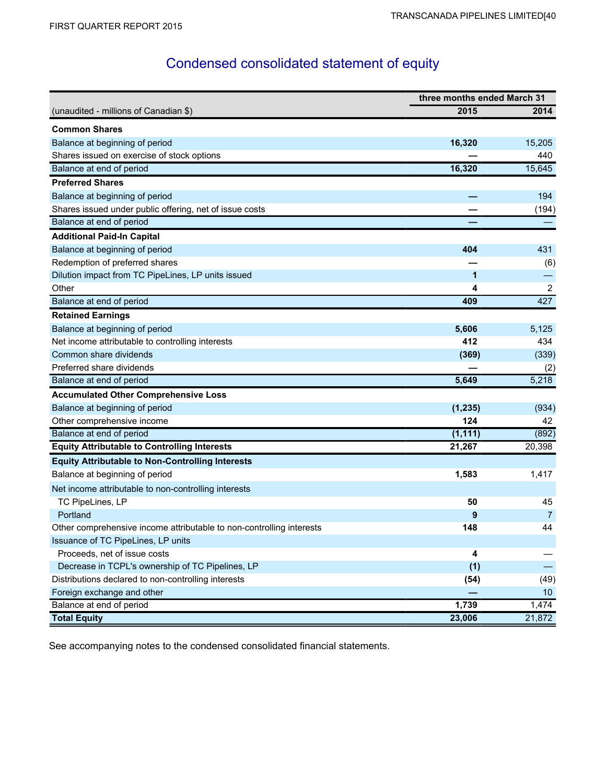# Condensed consolidated statement of equity

|                                                                      |          | three months ended March 31 |
|----------------------------------------------------------------------|----------|-----------------------------|
| (unaudited - millions of Canadian \$)                                | 2015     | 2014                        |
| <b>Common Shares</b>                                                 |          |                             |
| Balance at beginning of period                                       | 16,320   | 15,205                      |
| Shares issued on exercise of stock options                           |          | 440                         |
| Balance at end of period                                             | 16,320   | 15,645                      |
| <b>Preferred Shares</b>                                              |          |                             |
| Balance at beginning of period                                       |          | 194                         |
| Shares issued under public offering, net of issue costs              |          | (194)                       |
| Balance at end of period                                             |          |                             |
| <b>Additional Paid-In Capital</b>                                    |          |                             |
| Balance at beginning of period                                       | 404      | 431                         |
| Redemption of preferred shares                                       |          | (6)                         |
| Dilution impact from TC PipeLines, LP units issued                   | 1        |                             |
| Other                                                                | 4        | $\overline{2}$              |
| Balance at end of period                                             | 409      | 427                         |
| <b>Retained Earnings</b>                                             |          |                             |
| Balance at beginning of period                                       | 5,606    | 5,125                       |
| Net income attributable to controlling interests                     | 412      | 434                         |
| Common share dividends                                               | (369)    | (339)                       |
| Preferred share dividends                                            |          | (2)                         |
| Balance at end of period                                             | 5,649    | 5,218                       |
| <b>Accumulated Other Comprehensive Loss</b>                          |          |                             |
| Balance at beginning of period                                       | (1, 235) | (934)                       |
| Other comprehensive income                                           | 124      | 42                          |
| Balance at end of period                                             | (1, 111) | (892)                       |
| <b>Equity Attributable to Controlling Interests</b>                  | 21,267   | 20,398                      |
| <b>Equity Attributable to Non-Controlling Interests</b>              |          |                             |
| Balance at beginning of period                                       | 1,583    | 1,417                       |
| Net income attributable to non-controlling interests                 |          |                             |
| TC PipeLines, LP                                                     | 50       | 45                          |
| Portland                                                             | 9        | 7                           |
| Other comprehensive income attributable to non-controlling interests | 148      | 44                          |
| Issuance of TC PipeLines, LP units                                   |          |                             |
| Proceeds, net of issue costs                                         | 4        |                             |
| Decrease in TCPL's ownership of TC Pipelines, LP                     | (1)      |                             |
| Distributions declared to non-controlling interests                  | (54)     | (49)                        |
| Foreign exchange and other                                           |          | 10                          |
| Balance at end of period                                             | 1,739    | 1,474                       |
| <b>Total Equity</b>                                                  | 23,006   | 21,872                      |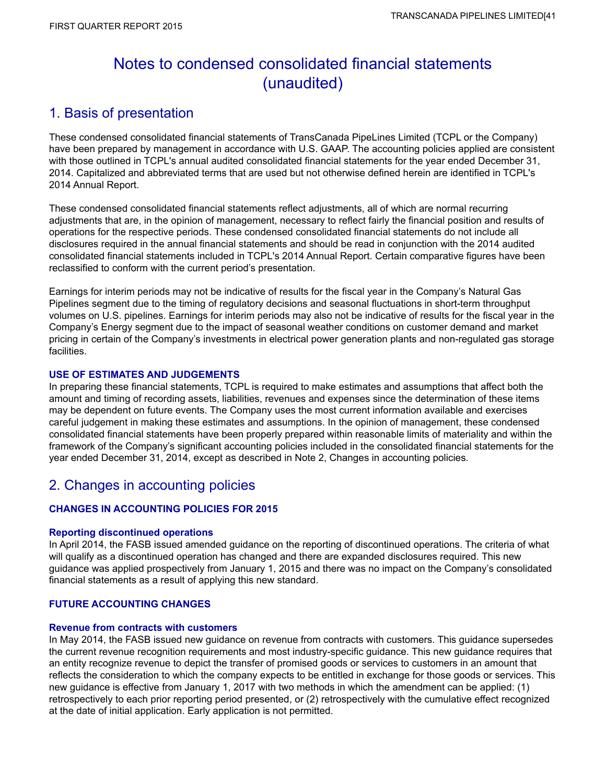# Notes to condensed consolidated financial statements (unaudited)

# 1. Basis of presentation

These condensed consolidated financial statements of TransCanada PipeLines Limited (TCPL or the Company) have been prepared by management in accordance with U.S. GAAP. The accounting policies applied are consistent with those outlined in TCPL's annual audited consolidated financial statements for the year ended December 31, 2014. Capitalized and abbreviated terms that are used but not otherwise defined herein are identified in TCPL's 2014 Annual Report.

These condensed consolidated financial statements reflect adjustments, all of which are normal recurring adjustments that are, in the opinion of management, necessary to reflect fairly the financial position and results of operations for the respective periods. These condensed consolidated financial statements do not include all disclosures required in the annual financial statements and should be read in conjunction with the 2014 audited consolidated financial statements included in TCPL's 2014 Annual Report. Certain comparative figures have been reclassified to conform with the current period's presentation.

Earnings for interim periods may not be indicative of results for the fiscal year in the Company's Natural Gas Pipelines segment due to the timing of regulatory decisions and seasonal fluctuations in short-term throughput volumes on U.S. pipelines. Earnings for interim periods may also not be indicative of results for the fiscal year in the Company's Energy segment due to the impact of seasonal weather conditions on customer demand and market pricing in certain of the Company's investments in electrical power generation plants and non-regulated gas storage facilities.

### **USE OF ESTIMATES AND JUDGEMENTS**

In preparing these financial statements, TCPL is required to make estimates and assumptions that affect both the amount and timing of recording assets, liabilities, revenues and expenses since the determination of these items may be dependent on future events. The Company uses the most current information available and exercises careful judgement in making these estimates and assumptions. In the opinion of management, these condensed consolidated financial statements have been properly prepared within reasonable limits of materiality and within the framework of the Company's significant accounting policies included in the consolidated financial statements for the year ended December 31, 2014, except as described in Note 2, Changes in accounting policies.

# 2. Changes in accounting policies

### **CHANGES IN ACCOUNTING POLICIES FOR 2015**

### **Reporting discontinued operations**

In April 2014, the FASB issued amended guidance on the reporting of discontinued operations. The criteria of what will qualify as a discontinued operation has changed and there are expanded disclosures required. This new guidance was applied prospectively from January 1, 2015 and there was no impact on the Company's consolidated financial statements as a result of applying this new standard.

### **FUTURE ACCOUNTING CHANGES**

### **Revenue from contracts with customers**

In May 2014, the FASB issued new guidance on revenue from contracts with customers. This guidance supersedes the current revenue recognition requirements and most industry-specific guidance. This new guidance requires that an entity recognize revenue to depict the transfer of promised goods or services to customers in an amount that reflects the consideration to which the company expects to be entitled in exchange for those goods or services. This new guidance is effective from January 1, 2017 with two methods in which the amendment can be applied: (1) retrospectively to each prior reporting period presented, or (2) retrospectively with the cumulative effect recognized at the date of initial application. Early application is not permitted.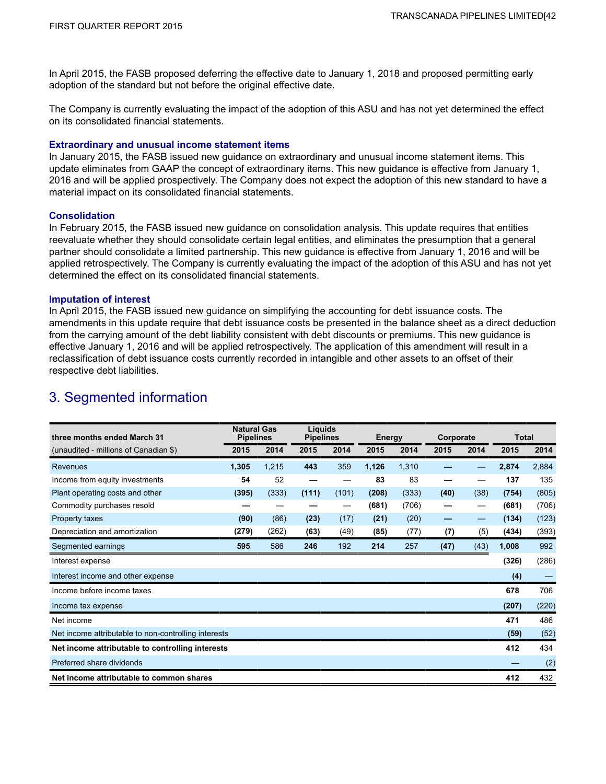In April 2015, the FASB proposed deferring the effective date to January 1, 2018 and proposed permitting early adoption of the standard but not before the original effective date.

The Company is currently evaluating the impact of the adoption of this ASU and has not yet determined the effect on its consolidated financial statements.

#### **Extraordinary and unusual income statement items**

In January 2015, the FASB issued new guidance on extraordinary and unusual income statement items. This update eliminates from GAAP the concept of extraordinary items. This new guidance is effective from January 1, 2016 and will be applied prospectively. The Company does not expect the adoption of this new standard to have a material impact on its consolidated financial statements.

#### **Consolidation**

In February 2015, the FASB issued new guidance on consolidation analysis. This update requires that entities reevaluate whether they should consolidate certain legal entities, and eliminates the presumption that a general partner should consolidate a limited partnership. This new guidance is effective from January 1, 2016 and will be applied retrospectively. The Company is currently evaluating the impact of the adoption of this ASU and has not yet determined the effect on its consolidated financial statements.

#### **Imputation of interest**

In April 2015, the FASB issued new guidance on simplifying the accounting for debt issuance costs. The amendments in this update require that debt issuance costs be presented in the balance sheet as a direct deduction from the carrying amount of the debt liability consistent with debt discounts or premiums. This new guidance is effective January 1, 2016 and will be applied retrospectively. The application of this amendment will result in a reclassification of debt issuance costs currently recorded in intangible and other assets to an offset of their respective debt liabilities.

| three months ended March 31                          | <b>Natural Gas</b><br><b>Pipelines</b> |       | Liquids<br><b>Pipelines</b> |       | Energy |       | Corporate |      | Total |       |
|------------------------------------------------------|----------------------------------------|-------|-----------------------------|-------|--------|-------|-----------|------|-------|-------|
| (unaudited - millions of Canadian \$)                | 2015                                   | 2014  | 2015                        | 2014  | 2015   | 2014  | 2015      | 2014 | 2015  | 2014  |
| Revenues                                             | 1,305                                  | 1,215 | 443                         | 359   | 1,126  | 1,310 |           |      | 2,874 | 2,884 |
| Income from equity investments                       | 54                                     | 52    | –                           |       | 83     | 83    | _         |      | 137   | 135   |
| Plant operating costs and other                      | (395)                                  | (333) | (111)                       | (101) | (208)  | (333) | (40)      | (38) | (754) | (805) |
| Commodity purchases resold                           |                                        |       |                             |       | (681)  | (706) |           |      | (681) | (706) |
| Property taxes                                       | (90)                                   | (86)  | (23)                        | (17)  | (21)   | (20)  |           | —    | (134) | (123) |
| Depreciation and amortization                        | (279)                                  | (262) | (63)                        | (49)  | (85)   | (77)  | (7)       | (5)  | (434) | (393) |
| Segmented earnings                                   | 595                                    | 586   | 246                         | 192   | 214    | 257   | (47)      | (43) | 1,008 | 992   |
| Interest expense                                     |                                        |       |                             |       |        |       |           |      | (326) | (286) |
| Interest income and other expense                    |                                        |       |                             |       |        |       |           |      | (4)   |       |
| Income before income taxes                           |                                        |       |                             |       |        |       |           |      | 678   | 706   |
| Income tax expense                                   |                                        |       |                             |       |        |       |           |      | (207) | (220) |
| Net income                                           |                                        |       |                             |       |        |       |           |      | 471   | 486   |
| Net income attributable to non-controlling interests |                                        |       |                             |       |        |       |           |      | (59)  | (52)  |
| Net income attributable to controlling interests     |                                        |       |                             |       |        |       |           |      | 412   | 434   |
| Preferred share dividends                            |                                        |       |                             |       |        |       |           |      |       | (2)   |
| Net income attributable to common shares             |                                        |       |                             |       |        |       |           |      | 412   | 432   |

### 3. Segmented information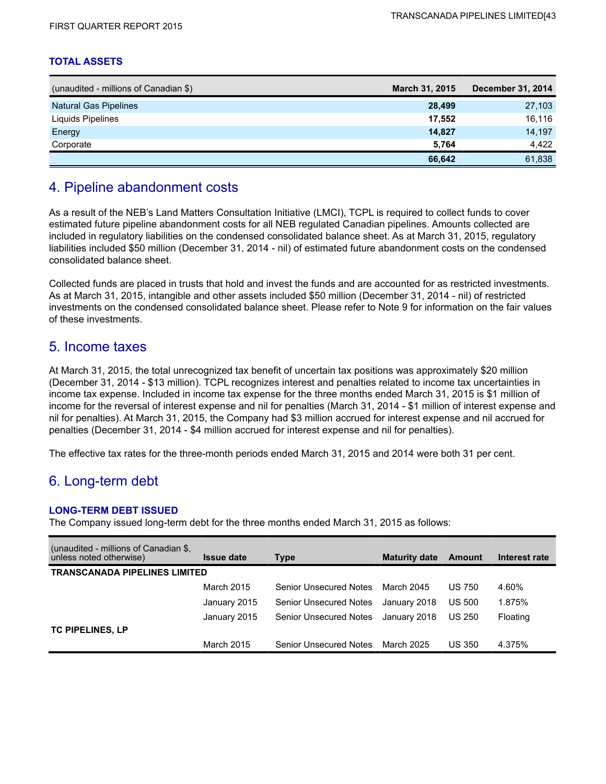### **TOTAL ASSETS**

| (unaudited - millions of Canadian \$) | March 31, 2015 | <b>December 31, 2014</b> |
|---------------------------------------|----------------|--------------------------|
| <b>Natural Gas Pipelines</b>          | 28,499         | 27,103                   |
| Liquids Pipelines                     | 17,552         | 16,116                   |
| Energy                                | 14,827         | 14,197                   |
| Corporate                             | 5.764          | 4,422                    |
|                                       | 66,642         | 61,838                   |

### 4. Pipeline abandonment costs

As a result of the NEB's Land Matters Consultation Initiative (LMCI), TCPL is required to collect funds to cover estimated future pipeline abandonment costs for all NEB regulated Canadian pipelines. Amounts collected are included in regulatory liabilities on the condensed consolidated balance sheet. As at March 31, 2015, regulatory liabilities included \$50 million (December 31, 2014 - nil) of estimated future abandonment costs on the condensed consolidated balance sheet.

Collected funds are placed in trusts that hold and invest the funds and are accounted for as restricted investments. As at March 31, 2015, intangible and other assets included \$50 million (December 31, 2014 - nil) of restricted investments on the condensed consolidated balance sheet. Please refer to Note 9 for information on the fair values of these investments.

### 5. Income taxes

At March 31, 2015, the total unrecognized tax benefit of uncertain tax positions was approximately \$20 million (December 31, 2014 - \$13 million). TCPL recognizes interest and penalties related to income tax uncertainties in income tax expense. Included in income tax expense for the three months ended March 31, 2015 is \$1 million of income for the reversal of interest expense and nil for penalties (March 31, 2014 - \$1 million of interest expense and nil for penalties). At March 31, 2015, the Company had \$3 million accrued for interest expense and nil accrued for penalties (December 31, 2014 - \$4 million accrued for interest expense and nil for penalties).

The effective tax rates for the three-month periods ended March 31, 2015 and 2014 were both 31 per cent.

# 6. Long-term debt

### **LONG-TERM DEBT ISSUED**

The Company issued long-term debt for the three months ended March 31, 2015 as follows:

| (unaudited - millions of Canadian \$,<br>unless noted otherwise) | <b>Issue date</b> | <b>Type</b>                   | <b>Maturity date</b> | <b>Amount</b> | Interest rate |
|------------------------------------------------------------------|-------------------|-------------------------------|----------------------|---------------|---------------|
| <b>TRANSCANADA PIPELINES LIMITED</b>                             |                   |                               |                      |               |               |
|                                                                  | March 2015        | Senior Unsecured Notes        | March 2045           | <b>US 750</b> | 4.60%         |
|                                                                  | January 2015      | <b>Senior Unsecured Notes</b> | January 2018         | <b>US 500</b> | 1.875%        |
|                                                                  | January 2015      | Senior Unsecured Notes        | January 2018         | <b>US 250</b> | Floating      |
| <b>TC PIPELINES, LP</b>                                          |                   |                               |                      |               |               |
|                                                                  | March 2015        | Senior Unsecured Notes        | March 2025           | <b>US 350</b> | 4.375%        |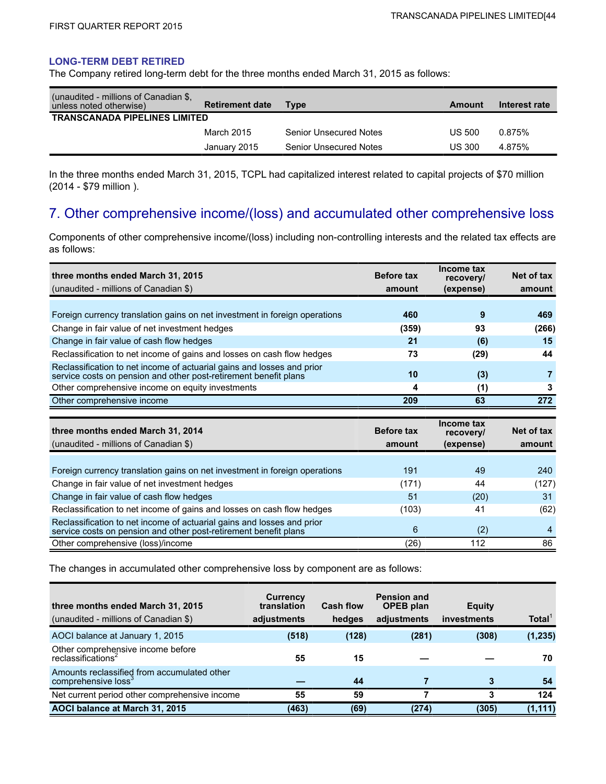#### **LONG-TERM DEBT RETIRED**

The Company retired long-term debt for the three months ended March 31, 2015 as follows:

| (unaudited - millions of Canadian \$,<br>unless noted otherwise) | <b>Retirement date</b> | <b>Type</b>                   | Amount        | Interest rate |  |  |
|------------------------------------------------------------------|------------------------|-------------------------------|---------------|---------------|--|--|
| <b>TRANSCANADA PIPELINES LIMITED</b>                             |                        |                               |               |               |  |  |
|                                                                  | March 2015             | <b>Senior Unsecured Notes</b> | <b>US 500</b> | 0.875%        |  |  |
|                                                                  | January 2015           | <b>Senior Unsecured Notes</b> | <b>US 300</b> | 4.875%        |  |  |

In the three months ended March 31, 2015, TCPL had capitalized interest related to capital projects of \$70 million (2014 - \$79 million ).

## 7. Other comprehensive income/(loss) and accumulated other comprehensive loss

Components of other comprehensive income/(loss) including non-controlling interests and the related tax effects are as follows:

| three months ended March 31, 2015                                                                                                          | <b>Before tax</b> | Income tax<br>recovery/ | Net of tax |
|--------------------------------------------------------------------------------------------------------------------------------------------|-------------------|-------------------------|------------|
| (unaudited - millions of Canadian \$)                                                                                                      | amount            | (expense)               | amount     |
|                                                                                                                                            |                   |                         |            |
| Foreign currency translation gains on net investment in foreign operations                                                                 | 460               | 9                       | 469        |
| Change in fair value of net investment hedges                                                                                              | (359)             | 93                      | (266)      |
| Change in fair value of cash flow hedges                                                                                                   | 21                | (6)                     | 15         |
| Reclassification to net income of gains and losses on cash flow hedges                                                                     | 73                | (29)                    | 44         |
| Reclassification to net income of actuarial gains and losses and prior<br>service costs on pension and other post-retirement benefit plans | 10                | (3)                     |            |
| Other comprehensive income on equity investments                                                                                           | 4                 | (1)                     | 3          |
| Other comprehensive income                                                                                                                 | 209               | 63                      | 272        |
|                                                                                                                                            |                   |                         |            |
|                                                                                                                                            |                   |                         |            |
| three months ended March 31, 2014                                                                                                          | <b>Before tax</b> | Income tax<br>recovery/ | Net of tax |
| (unaudited - millions of Canadian \$)                                                                                                      | amount            | (expense)               | amount     |
|                                                                                                                                            |                   |                         |            |
| Foreign currency translation gains on net investment in foreign operations                                                                 | 191               | 49                      | 240        |
| Change in fair value of net investment hedges                                                                                              | (171)             | 44                      | (127)      |
| Change in fair value of cash flow hedges                                                                                                   | 51                | (20)                    | 31         |
| Reclassification to net income of gains and losses on cash flow hedges                                                                     | (103)             | 41                      | (62)       |
| Reclassification to net income of actuarial gains and losses and prior<br>service costs on pension and other post-retirement benefit plans | 6                 | (2)                     | 4          |

The changes in accumulated other comprehensive loss by component are as follows:

| three months ended March 31, 2015<br>(unaudited - millions of Canadian \$)     | Currency<br>translation<br>adjustments | <b>Cash flow</b><br>hedges | <b>Pension and</b><br><b>OPEB</b> plan<br>adjustments | <b>Equity</b><br>investments | <b>Total</b> |
|--------------------------------------------------------------------------------|----------------------------------------|----------------------------|-------------------------------------------------------|------------------------------|--------------|
| AOCI balance at January 1, 2015                                                | (518)                                  | (128)                      | (281)                                                 | (308)                        | (1, 235)     |
| Other comprehensive income before<br>reclassifications <sup>2</sup>            | 55                                     | 15                         |                                                       |                              | 70           |
| Amounts reclassified from accumulated other<br>comprehensive loss <sup>3</sup> |                                        | 44                         |                                                       |                              | 54           |
| Net current period other comprehensive income                                  | 55                                     | 59                         |                                                       |                              | 124          |
| AOCI balance at March 31, 2015                                                 | (463)                                  | (69)                       | (274)                                                 | (305)                        | (1, 111)     |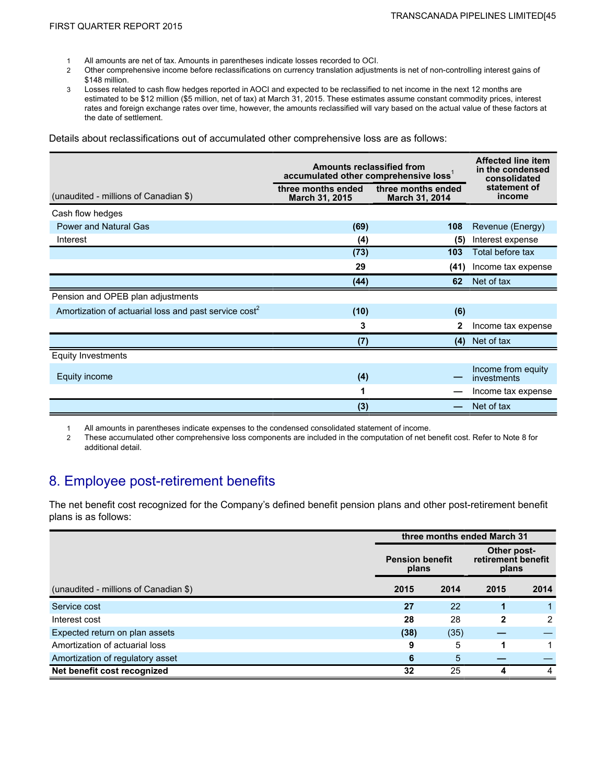- 1 All amounts are net of tax. Amounts in parentheses indicate losses recorded to OCI.
- 2 Other comprehensive income before reclassifications on currency translation adjustments is net of non-controlling interest gains of \$148 million.
- 3 Losses related to cash flow hedges reported in AOCI and expected to be reclassified to net income in the next 12 months are estimated to be \$12 million (\$5 million, net of tax) at March 31, 2015. These estimates assume constant commodity prices, interest rates and foreign exchange rates over time, however, the amounts reclassified will vary based on the actual value of these factors at the date of settlement.

Details about reclassifications out of accumulated other comprehensive loss are as follows:

|                                                                   | Amounts reclassified from<br>accumulated other comprehensive loss <sup>1</sup> | <b>Affected line item</b><br>in the condensed<br>consolidated |                                   |
|-------------------------------------------------------------------|--------------------------------------------------------------------------------|---------------------------------------------------------------|-----------------------------------|
| (unaudited - millions of Canadian \$)                             | three months ended<br>March 31, 2015                                           | three months ended<br>March 31, 2014                          |                                   |
| Cash flow hedges                                                  |                                                                                |                                                               |                                   |
| <b>Power and Natural Gas</b>                                      | (69)                                                                           | 108                                                           | Revenue (Energy)                  |
| Interest                                                          | (4)                                                                            | (5)                                                           | Interest expense                  |
|                                                                   | (73)                                                                           | 103                                                           | Total before tax                  |
|                                                                   | 29                                                                             | (41)                                                          | Income tax expense                |
|                                                                   | (44)                                                                           | 62                                                            | Net of tax                        |
| Pension and OPEB plan adjustments                                 |                                                                                |                                                               |                                   |
| Amortization of actuarial loss and past service cost <sup>2</sup> | (10)                                                                           | (6)                                                           |                                   |
|                                                                   | 3                                                                              | 2                                                             | Income tax expense                |
|                                                                   | (7)                                                                            | (4)                                                           | Net of tax                        |
| <b>Equity Investments</b>                                         |                                                                                |                                                               |                                   |
| Equity income                                                     | (4)                                                                            |                                                               | Income from equity<br>investments |
|                                                                   | 1                                                                              |                                                               | Income tax expense                |
|                                                                   | (3)                                                                            |                                                               | Net of tax                        |

1 All amounts in parentheses indicate expenses to the condensed consolidated statement of income.

2 These accumulated other comprehensive loss components are included in the computation of net benefit cost. Refer to Note 8 for additional detail.

# 8. Employee post-retirement benefits

The net benefit cost recognized for the Company's defined benefit pension plans and other post-retirement benefit plans is as follows:

|                                       | three months ended March 31     |      |      |                                            |  |
|---------------------------------------|---------------------------------|------|------|--------------------------------------------|--|
|                                       | <b>Pension benefit</b><br>plans |      |      | Other post-<br>retirement benefit<br>plans |  |
| (unaudited - millions of Canadian \$) | 2015                            | 2014 | 2015 | 2014                                       |  |
| Service cost                          | 27                              | 22   | 1    |                                            |  |
| Interest cost                         | 28                              | 28   | 2    | $\overline{2}$                             |  |
| Expected return on plan assets        | (38)                            | (35) |      |                                            |  |
| Amortization of actuarial loss        | 9                               | 5    | 1    | 1                                          |  |
| Amortization of regulatory asset      | 6                               | 5    |      |                                            |  |
| Net benefit cost recognized           | 32                              | 25   |      | 4                                          |  |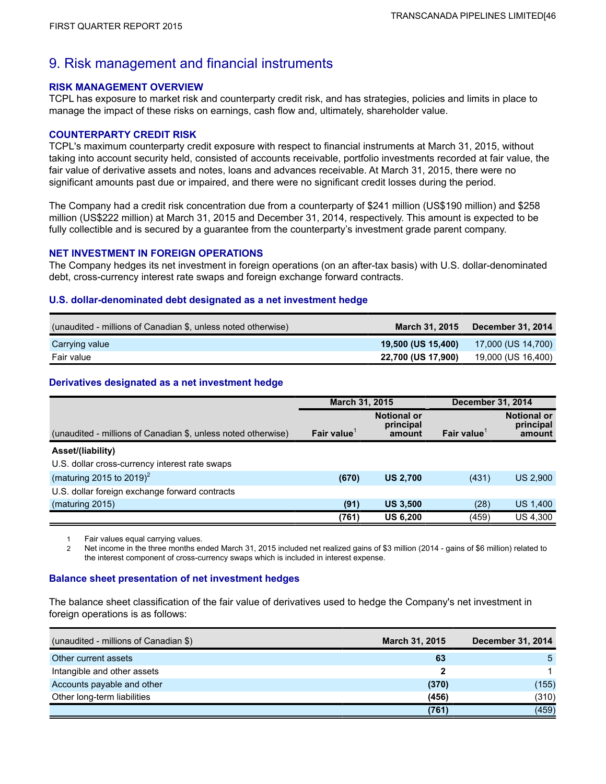### 9. Risk management and financial instruments

#### **RISK MANAGEMENT OVERVIEW**

TCPL has exposure to market risk and counterparty credit risk, and has strategies, policies and limits in place to manage the impact of these risks on earnings, cash flow and, ultimately, shareholder value.

#### **COUNTERPARTY CREDIT RISK**

TCPL's maximum counterparty credit exposure with respect to financial instruments at March 31, 2015, without taking into account security held, consisted of accounts receivable, portfolio investments recorded at fair value, the fair value of derivative assets and notes, loans and advances receivable. At March 31, 2015, there were no significant amounts past due or impaired, and there were no significant credit losses during the period.

The Company had a credit risk concentration due from a counterparty of \$241 million (US\$190 million) and \$258 million (US\$222 million) at March 31, 2015 and December 31, 2014, respectively. This amount is expected to be fully collectible and is secured by a guarantee from the counterparty's investment grade parent company.

#### **NET INVESTMENT IN FOREIGN OPERATIONS**

The Company hedges its net investment in foreign operations (on an after-tax basis) with U.S. dollar-denominated debt, cross-currency interest rate swaps and foreign exchange forward contracts.

#### **U.S. dollar-denominated debt designated as a net investment hedge**

| (unaudited - millions of Canadian \$, unless noted otherwise) | March 31, 2015            | <b>December 31, 2014</b> |
|---------------------------------------------------------------|---------------------------|--------------------------|
| Carrying value                                                | <b>19,500 (US 15,400)</b> | 17,000 (US 14,700)       |
| Fair value                                                    | <b>22,700 (US 17,900)</b> | 19,000 (US 16,400)       |

#### **Derivatives designated as a net investment hedge**

|                                                               | March 31, 2015          |                                           | <b>December 31, 2014</b> |                                           |
|---------------------------------------------------------------|-------------------------|-------------------------------------------|--------------------------|-------------------------------------------|
| (unaudited - millions of Canadian \$, unless noted otherwise) | Fair value <sup>1</sup> | <b>Notional or</b><br>principal<br>amount | Fair value               | <b>Notional or</b><br>principal<br>amount |
| Asset/(liability)                                             |                         |                                           |                          |                                           |
| U.S. dollar cross-currency interest rate swaps                |                         |                                           |                          |                                           |
| (maturing 2015 to 2019) <sup>2</sup>                          | (670)                   | <b>US 2,700</b>                           | (431)                    | <b>US 2,900</b>                           |
| U.S. dollar foreign exchange forward contracts                |                         |                                           |                          |                                           |
| (maturity 2015)                                               | (91)                    | <b>US 3,500</b>                           | (28)                     | US 1,400                                  |
|                                                               | (761)                   | <b>US 6,200</b>                           | (459)                    | <b>US 4,300</b>                           |

1 Fair values equal carrying values.

2 Net income in the three months ended March 31, 2015 included net realized gains of \$3 million (2014 - gains of \$6 million) related to the interest component of cross-currency swaps which is included in interest expense.

#### **Balance sheet presentation of net investment hedges**

The balance sheet classification of the fair value of derivatives used to hedge the Company's net investment in foreign operations is as follows:

| (unaudited - millions of Canadian \$) | <b>March 31, 2015</b> | <b>December 31, 2014</b> |
|---------------------------------------|-----------------------|--------------------------|
| Other current assets                  | 63                    | 5                        |
| Intangible and other assets           | 2                     |                          |
| Accounts payable and other            | (370)                 | (155)                    |
| Other long-term liabilities           | (456)                 | (310)                    |
|                                       | (761)                 | (459)                    |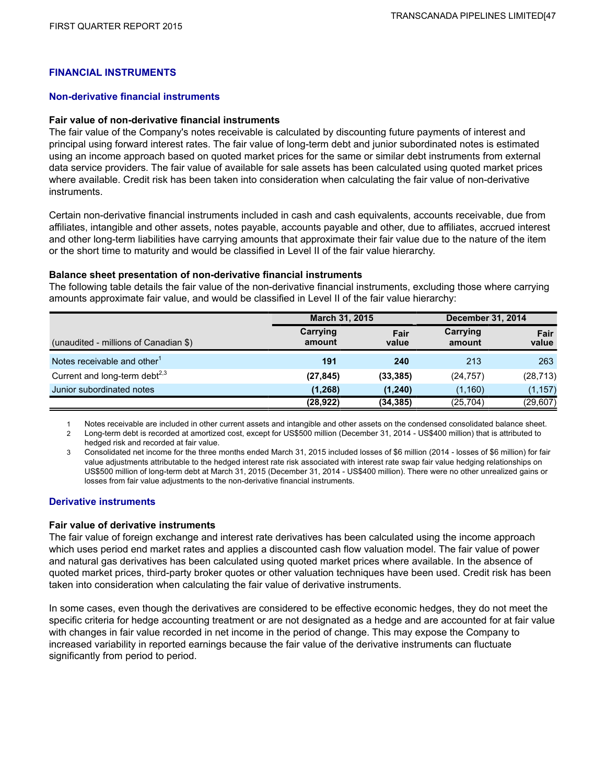#### **FINANCIAL INSTRUMENTS**

#### **Non-derivative financial instruments**

#### **Fair value of non-derivative financial instruments**

The fair value of the Company's notes receivable is calculated by discounting future payments of interest and principal using forward interest rates. The fair value of long-term debt and junior subordinated notes is estimated using an income approach based on quoted market prices for the same or similar debt instruments from external data service providers. The fair value of available for sale assets has been calculated using quoted market prices where available. Credit risk has been taken into consideration when calculating the fair value of non-derivative instruments.

Certain non-derivative financial instruments included in cash and cash equivalents, accounts receivable, due from affiliates, intangible and other assets, notes payable, accounts payable and other, due to affiliates, accrued interest and other long-term liabilities have carrying amounts that approximate their fair value due to the nature of the item or the short time to maturity and would be classified in Level II of the fair value hierarchy.

#### **Balance sheet presentation of non-derivative financial instruments**

The following table details the fair value of the non-derivative financial instruments, excluding those where carrying amounts approximate fair value, and would be classified in Level II of the fair value hierarchy:

|                                           | March 31, 2015     |               | <b>December 31, 2014</b> |               |
|-------------------------------------------|--------------------|---------------|--------------------------|---------------|
| (unaudited - millions of Canadian \$)     | Carrying<br>amount | Fair<br>value | Carrying<br>amount       | Fair<br>value |
| Notes receivable and other <sup>1</sup>   | 191                | 240           | 213                      | 263           |
| Current and long-term debt <sup>2,3</sup> | (27, 845)          | (33, 385)     | (24, 757)                | (28, 713)     |
| Junior subordinated notes                 | (1, 268)           | (1,240)       | (1, 160)                 | (1, 157)      |
|                                           | (28, 922)          | (34, 385)     | (25, 704)                | (29, 607)     |

1 Notes receivable are included in other current assets and intangible and other assets on the condensed consolidated balance sheet.

2 Long-term debt is recorded at amortized cost, except for US\$500 million (December 31, 2014 - US\$400 million) that is attributed to hedged risk and recorded at fair value.

3 Consolidated net income for the three months ended March 31, 2015 included losses of \$6 million (2014 - losses of \$6 million) for fair value adjustments attributable to the hedged interest rate risk associated with interest rate swap fair value hedging relationships on US\$500 million of long-term debt at March 31, 2015 (December 31, 2014 - US\$400 million). There were no other unrealized gains or losses from fair value adjustments to the non-derivative financial instruments.

#### **Derivative instruments**

#### **Fair value of derivative instruments**

The fair value of foreign exchange and interest rate derivatives has been calculated using the income approach which uses period end market rates and applies a discounted cash flow valuation model. The fair value of power and natural gas derivatives has been calculated using quoted market prices where available. In the absence of quoted market prices, third-party broker quotes or other valuation techniques have been used. Credit risk has been taken into consideration when calculating the fair value of derivative instruments.

In some cases, even though the derivatives are considered to be effective economic hedges, they do not meet the specific criteria for hedge accounting treatment or are not designated as a hedge and are accounted for at fair value with changes in fair value recorded in net income in the period of change. This may expose the Company to increased variability in reported earnings because the fair value of the derivative instruments can fluctuate significantly from period to period.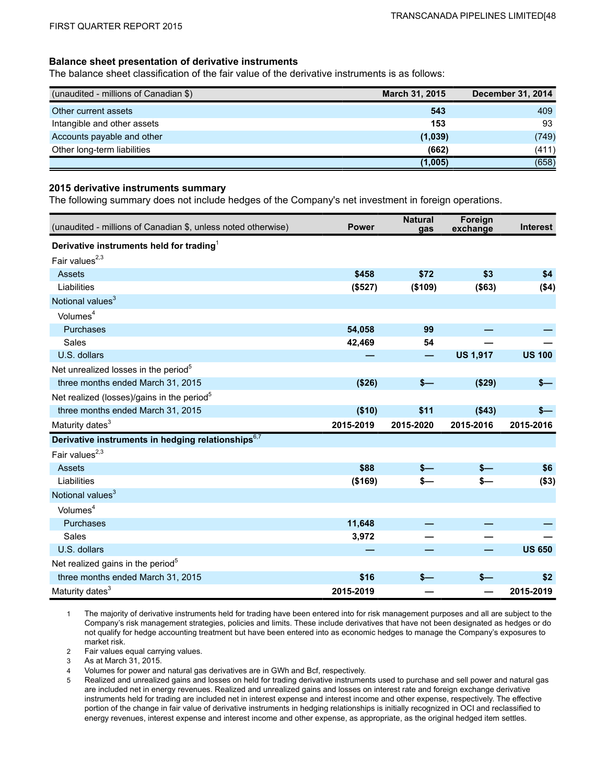#### **Balance sheet presentation of derivative instruments**

The balance sheet classification of the fair value of the derivative instruments is as follows:

| (unaudited - millions of Canadian \$) | <b>March 31, 2015</b> | <b>December 31, 2014</b> |
|---------------------------------------|-----------------------|--------------------------|
| Other current assets                  | 543                   | 409                      |
| Intangible and other assets           | 153                   | 93                       |
| Accounts payable and other            | (1,039)               | (749)                    |
| Other long-term liabilities           | (662)                 | (411)                    |
|                                       | (1,005)               | (658)                    |

#### **2015 derivative instruments summary**

The following summary does not include hedges of the Company's net investment in foreign operations.

| (unaudited - millions of Canadian \$, unless noted otherwise)  | <b>Power</b> | <b>Natural</b><br>gas | Foreign<br>exchange | <b>Interest</b> |
|----------------------------------------------------------------|--------------|-----------------------|---------------------|-----------------|
| Derivative instruments held for trading <sup>1</sup>           |              |                       |                     |                 |
| Fair values <sup>2,3</sup>                                     |              |                       |                     |                 |
| Assets                                                         | \$458        | \$72                  | \$3                 | \$4             |
| Liabilities                                                    | (\$527)      | (\$109)               | ( \$63)             | ( \$4)          |
| Notional values <sup>3</sup>                                   |              |                       |                     |                 |
| Volumes <sup>4</sup>                                           |              |                       |                     |                 |
| Purchases                                                      | 54,058       | 99                    |                     |                 |
| Sales                                                          | 42,469       | 54                    |                     |                 |
| U.S. dollars                                                   |              | -                     | <b>US 1,917</b>     | <b>US 100</b>   |
| Net unrealized losses in the period <sup>5</sup>               |              |                       |                     |                 |
| three months ended March 31, 2015                              | (\$26)       | $s-$                  | (\$29)              | $$ -$           |
| Net realized (losses)/gains in the period <sup>5</sup>         |              |                       |                     |                 |
| three months ended March 31, 2015                              | (\$10)       | \$11                  | (\$43)              | \$–             |
| Maturity dates <sup>3</sup>                                    | 2015-2019    | 2015-2020             | 2015-2016           | 2015-2016       |
| Derivative instruments in hedging relationships <sup>6,7</sup> |              |                       |                     |                 |
| Fair values <sup>2,3</sup>                                     |              |                       |                     |                 |
| Assets                                                         | \$88         | $s-$                  | $s-$                | \$6             |
| Liabilities                                                    | (\$169)      | $s-$                  | $s-$                | (\$3)           |
| Notional values <sup>3</sup>                                   |              |                       |                     |                 |
| Volumes <sup>4</sup>                                           |              |                       |                     |                 |
| <b>Purchases</b>                                               | 11,648       |                       |                     |                 |
| Sales                                                          | 3,972        |                       |                     |                 |
| U.S. dollars                                                   |              |                       |                     | <b>US 650</b>   |
| Net realized gains in the period <sup>5</sup>                  |              |                       |                     |                 |
| three months ended March 31, 2015                              | \$16         | $s-$                  | $s-$                | \$2             |
| Maturity dates <sup>3</sup>                                    | 2015-2019    |                       |                     | 2015-2019       |

1 The majority of derivative instruments held for trading have been entered into for risk management purposes and all are subject to the Company's risk management strategies, policies and limits. These include derivatives that have not been designated as hedges or do not qualify for hedge accounting treatment but have been entered into as economic hedges to manage the Company's exposures to market risk.

2 Fair values equal carrying values.

3 As at March 31, 2015.

4 Volumes for power and natural gas derivatives are in GWh and Bcf, respectively.

5 Realized and unrealized gains and losses on held for trading derivative instruments used to purchase and sell power and natural gas are included net in energy revenues. Realized and unrealized gains and losses on interest rate and foreign exchange derivative instruments held for trading are included net in interest expense and interest income and other expense, respectively. The effective portion of the change in fair value of derivative instruments in hedging relationships is initially recognized in OCI and reclassified to energy revenues, interest expense and interest income and other expense, as appropriate, as the original hedged item settles.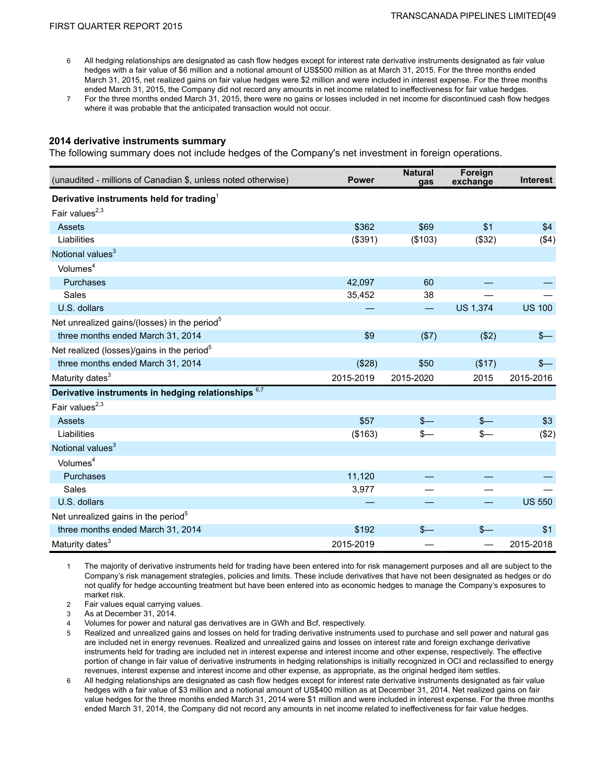- 6 All hedging relationships are designated as cash flow hedges except for interest rate derivative instruments designated as fair value hedges with a fair value of \$6 million and a notional amount of US\$500 million as at March 31, 2015. For the three months ended March 31, 2015, net realized gains on fair value hedges were \$2 million and were included in interest expense. For the three months ended March 31, 2015, the Company did not record any amounts in net income related to ineffectiveness for fair value hedges.
- 7 For the three months ended March 31, 2015, there were no gains or losses included in net income for discontinued cash flow hedges where it was probable that the anticipated transaction would not occur.

#### **2014 derivative instruments summary**

The following summary does not include hedges of the Company's net investment in foreign operations.

| (unaudited - millions of Canadian \$, unless noted otherwise) | <b>Power</b> | <b>Natural</b><br>gas | Foreign<br>exchange      | <b>Interest</b> |
|---------------------------------------------------------------|--------------|-----------------------|--------------------------|-----------------|
| Derivative instruments held for trading <sup>1</sup>          |              |                       |                          |                 |
| Fair values <sup>2,3</sup>                                    |              |                       |                          |                 |
| Assets                                                        | \$362        | \$69                  | \$1                      | \$4             |
| Liabilities                                                   | (\$391)      | (\$103)               | (\$32)                   | ( \$4)          |
| Notional values <sup>3</sup>                                  |              |                       |                          |                 |
| Volumes <sup>4</sup>                                          |              |                       |                          |                 |
| Purchases                                                     | 42,097       | 60                    |                          |                 |
| Sales                                                         | 35,452       | 38                    |                          |                 |
| U.S. dollars                                                  |              |                       | <b>US 1,374</b>          | <b>US 100</b>   |
| Net unrealized gains/(losses) in the period <sup>5</sup>      |              |                       |                          |                 |
| three months ended March 31, 2014                             | \$9          | ( \$7)                | ( \$2)                   | $$ -$           |
| Net realized (losses)/gains in the period <sup>5</sup>        |              |                       |                          |                 |
| three months ended March 31, 2014                             | (\$28)       | \$50                  | (\$17)                   | $s-$            |
| Maturity dates <sup>3</sup>                                   | 2015-2019    | 2015-2020             | 2015                     | 2015-2016       |
| Derivative instruments in hedging relationships 6,7           |              |                       |                          |                 |
| Fair values <sup>2,3</sup>                                    |              |                       |                          |                 |
| Assets                                                        | \$57         | $s-$                  | $s-$                     | \$3             |
| Liabilities                                                   | (\$163)      | $s-$                  | $s-$                     | (\$2)           |
| Notional values <sup>3</sup>                                  |              |                       |                          |                 |
| Volumes <sup>4</sup>                                          |              |                       |                          |                 |
| Purchases                                                     | 11,120       |                       |                          |                 |
| Sales                                                         | 3,977        |                       |                          |                 |
| U.S. dollars                                                  |              |                       |                          | <b>US 550</b>   |
| Net unrealized gains in the period <sup>5</sup>               |              |                       |                          |                 |
| three months ended March 31, 2014                             | \$192        | $S-$                  | $s-$                     | \$1             |
| Maturity dates <sup>3</sup>                                   | 2015-2019    |                       | $\overline{\phantom{0}}$ | 2015-2018       |

1 The majority of derivative instruments held for trading have been entered into for risk management purposes and all are subject to the Company's risk management strategies, policies and limits. These include derivatives that have not been designated as hedges or do not qualify for hedge accounting treatment but have been entered into as economic hedges to manage the Company's exposures to market risk.

2 Fair values equal carrying values.

3 As at December 31, 2014.

4 Volumes for power and natural gas derivatives are in GWh and Bcf, respectively.

5 Realized and unrealized gains and losses on held for trading derivative instruments used to purchase and sell power and natural gas are included net in energy revenues. Realized and unrealized gains and losses on interest rate and foreign exchange derivative instruments held for trading are included net in interest expense and interest income and other expense, respectively. The effective portion of change in fair value of derivative instruments in hedging relationships is initially recognized in OCI and reclassified to energy revenues, interest expense and interest income and other expense, as appropriate, as the original hedged item settles.

6 All hedging relationships are designated as cash flow hedges except for interest rate derivative instruments designated as fair value hedges with a fair value of \$3 million and a notional amount of US\$400 million as at December 31, 2014. Net realized gains on fair value hedges for the three months ended March 31, 2014 were \$1 million and were included in interest expense. For the three months ended March 31, 2014, the Company did not record any amounts in net income related to ineffectiveness for fair value hedges.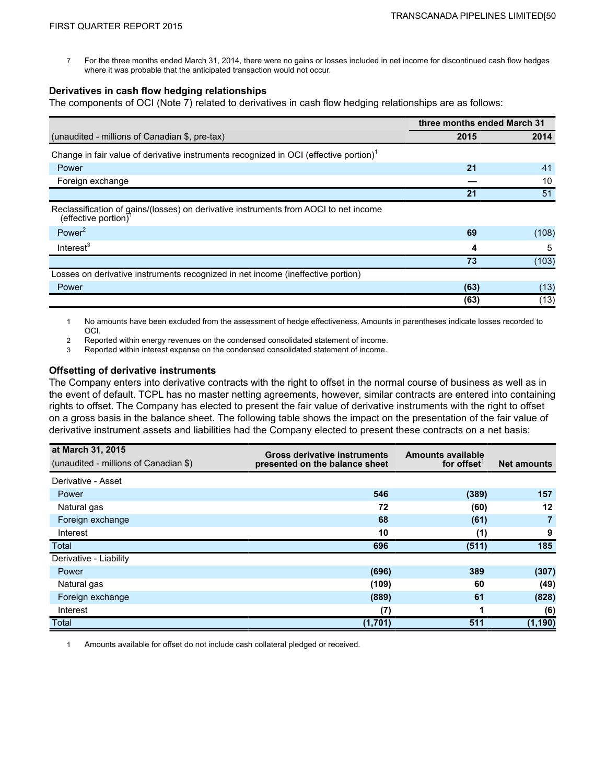7 For the three months ended March 31, 2014, there were no gains or losses included in net income for discontinued cash flow hedges where it was probable that the anticipated transaction would not occur.

#### **Derivatives in cash flow hedging relationships**

The components of OCI (Note 7) related to derivatives in cash flow hedging relationships are as follows:

|                                                                                                                         | three months ended March 31 |       |
|-------------------------------------------------------------------------------------------------------------------------|-----------------------------|-------|
| (unaudited - millions of Canadian \$, pre-tax)                                                                          | 2015                        | 2014  |
| Change in fair value of derivative instruments recognized in OCI (effective portion) <sup>1</sup>                       |                             |       |
| Power                                                                                                                   | 21                          | 41    |
| Foreign exchange                                                                                                        |                             | 10    |
|                                                                                                                         | 21                          | 51    |
| Reclassification of gains/(losses) on derivative instruments from AOCI to net income<br>(effective portion) $\tilde{I}$ |                             |       |
| Power <sup>2</sup>                                                                                                      | 69                          | (108) |
| Interest $3$                                                                                                            | 4                           | 5     |
|                                                                                                                         | 73                          | (103) |
| Losses on derivative instruments recognized in net income (ineffective portion)                                         |                             |       |
| Power                                                                                                                   | (63)                        | (13)  |
|                                                                                                                         | (63)                        | (13)  |

1 No amounts have been excluded from the assessment of hedge effectiveness. Amounts in parentheses indicate losses recorded to OCI.

2 Reported within energy revenues on the condensed consolidated statement of income.

3 Reported within interest expense on the condensed consolidated statement of income.

#### **Offsetting of derivative instruments**

The Company enters into derivative contracts with the right to offset in the normal course of business as well as in the event of default. TCPL has no master netting agreements, however, similar contracts are entered into containing rights to offset. The Company has elected to present the fair value of derivative instruments with the right to offset on a gross basis in the balance sheet. The following table shows the impact on the presentation of the fair value of derivative instrument assets and liabilities had the Company elected to present these contracts on a net basis:

| at March 31, 2015                     | Gross derivative instruments   | <b>Amounts available</b> |                    |
|---------------------------------------|--------------------------------|--------------------------|--------------------|
| (unaudited - millions of Canadian \$) | presented on the balance sheet | for offset               | <b>Net amounts</b> |
| Derivative - Asset                    |                                |                          |                    |
| Power                                 | 546                            | (389)                    | 157                |
| Natural gas                           | 72                             | (60)                     | 12                 |
| Foreign exchange                      | 68                             | (61)                     |                    |
| Interest                              | 10                             | (1)                      | 9                  |
| Total                                 | 696                            | (511)                    | 185                |
| Derivative - Liability                |                                |                          |                    |
| Power                                 | (696)                          | 389                      | (307)              |
| Natural gas                           | (109)                          | 60                       | (49)               |
| Foreign exchange                      | (889)                          | 61                       | (828)              |
| Interest                              | (7)                            |                          | (6)                |
| Total                                 | (1,701)                        | 511                      | (1, 190)           |

1 Amounts available for offset do not include cash collateral pledged or received.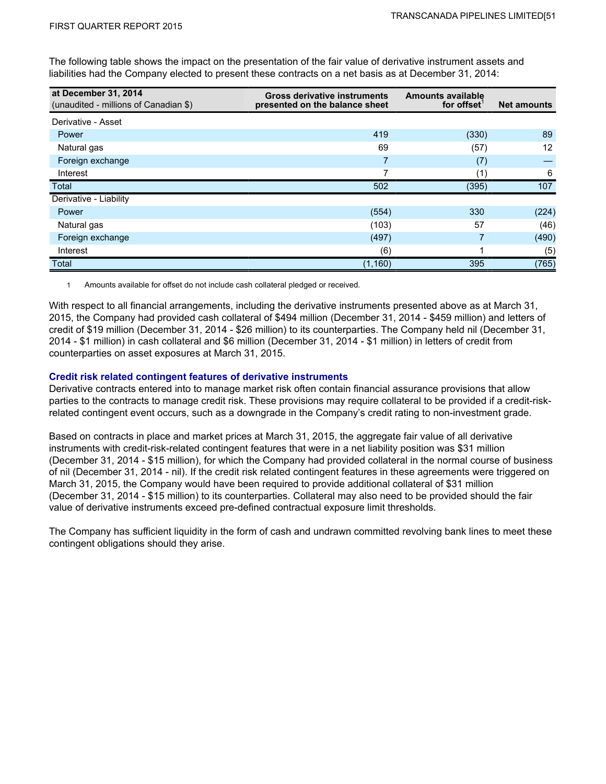The following table shows the impact on the presentation of the fair value of derivative instrument assets and liabilities had the Company elected to present these contracts on a net basis as at December 31, 2014:

| at December 31, 2014<br>(unaudited - millions of Canadian \$) | <b>Gross derivative instruments</b><br>presented on the balance sheet | <b>Amounts available</b><br>for offset | <b>Net amounts</b> |
|---------------------------------------------------------------|-----------------------------------------------------------------------|----------------------------------------|--------------------|
| Derivative - Asset                                            |                                                                       |                                        |                    |
| Power                                                         | 419                                                                   | (330)                                  | 89                 |
| Natural gas                                                   | 69                                                                    | (57)                                   | 12                 |
| Foreign exchange                                              |                                                                       | (7)                                    |                    |
| Interest                                                      |                                                                       | (1)                                    | 6                  |
| Total                                                         | 502                                                                   | (395)                                  | 107                |
| Derivative - Liability                                        |                                                                       |                                        |                    |
| Power                                                         | (554)                                                                 | 330                                    | (224)              |
| Natural gas                                                   | (103)                                                                 | 57                                     | (46)               |
| Foreign exchange                                              | (497)                                                                 |                                        | (490)              |
| <b>Interest</b>                                               | (6)                                                                   |                                        | (5)                |
| Total                                                         | (1, 160)                                                              | 395                                    | (765)              |

1 Amounts available for offset do not include cash collateral pledged or received.

With respect to all financial arrangements, including the derivative instruments presented above as at March 31, 2015, the Company had provided cash collateral of \$494 million (December 31, 2014 - \$459 million) and letters of credit of \$19 million (December 31, 2014 - \$26 million) to its counterparties. The Company held nil (December 31, 2014 - \$1 million) in cash collateral and \$6 million (December 31, 2014 - \$1 million) in letters of credit from counterparties on asset exposures at March 31, 2015.

#### **Credit risk related contingent features of derivative instruments**

Derivative contracts entered into to manage market risk often contain financial assurance provisions that allow parties to the contracts to manage credit risk. These provisions may require collateral to be provided if a credit-riskrelated contingent event occurs, such as a downgrade in the Company's credit rating to non-investment grade.

Based on contracts in place and market prices at March 31, 2015, the aggregate fair value of all derivative instruments with credit-risk-related contingent features that were in a net liability position was \$31 million (December 31, 2014 - \$15 million), for which the Company had provided collateral in the normal course of business of nil (December 31, 2014 - nil). If the credit risk related contingent features in these agreements were triggered on March 31, 2015, the Company would have been required to provide additional collateral of \$31 million (December 31, 2014 - \$15 million) to its counterparties. Collateral may also need to be provided should the fair value of derivative instruments exceed pre-defined contractual exposure limit thresholds.

The Company has sufficient liquidity in the form of cash and undrawn committed revolving bank lines to meet these contingent obligations should they arise.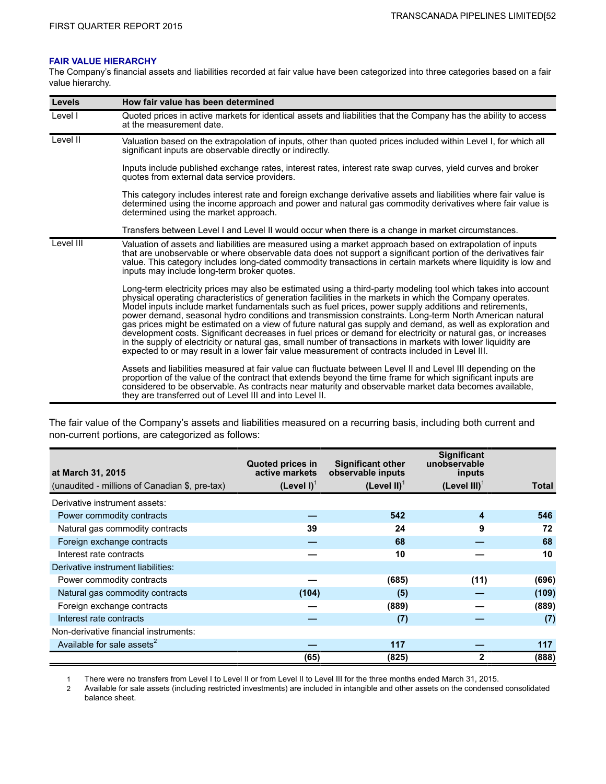#### **FAIR VALUE HIERARCHY**

The Company's financial assets and liabilities recorded at fair value have been categorized into three categories based on a fair value hierarchy.

| <b>Levels</b> | How fair value has been determined                                                                                                                                                                                                                                                                                                                                                                                                                                                                                                                                                                                                                                                                                                                                                                                                                                                                 |
|---------------|----------------------------------------------------------------------------------------------------------------------------------------------------------------------------------------------------------------------------------------------------------------------------------------------------------------------------------------------------------------------------------------------------------------------------------------------------------------------------------------------------------------------------------------------------------------------------------------------------------------------------------------------------------------------------------------------------------------------------------------------------------------------------------------------------------------------------------------------------------------------------------------------------|
| Level I       | Quoted prices in active markets for identical assets and liabilities that the Company has the ability to access<br>at the measurement date.                                                                                                                                                                                                                                                                                                                                                                                                                                                                                                                                                                                                                                                                                                                                                        |
| Level II      | Valuation based on the extrapolation of inputs, other than quoted prices included within Level I, for which all<br>significant inputs are observable directly or indirectly.                                                                                                                                                                                                                                                                                                                                                                                                                                                                                                                                                                                                                                                                                                                       |
|               | Inputs include published exchange rates, interest rates, interest rate swap curves, yield curves and broker<br>quotes from external data service providers.                                                                                                                                                                                                                                                                                                                                                                                                                                                                                                                                                                                                                                                                                                                                        |
|               | This category includes interest rate and foreign exchange derivative assets and liabilities where fair value is<br>determined using the income approach and power and natural gas commodity derivatives where fair value is<br>determined using the market approach.                                                                                                                                                                                                                                                                                                                                                                                                                                                                                                                                                                                                                               |
|               | Transfers between Level I and Level II would occur when there is a change in market circumstances.                                                                                                                                                                                                                                                                                                                                                                                                                                                                                                                                                                                                                                                                                                                                                                                                 |
| Level III     | Valuation of assets and liabilities are measured using a market approach based on extrapolation of inputs<br>that are unobservable or where observable data does not support a significant portion of the derivatives fair<br>value. This category includes long-dated commodity transactions in certain markets where liquidity is low and<br>inputs may include long-term broker quotes.                                                                                                                                                                                                                                                                                                                                                                                                                                                                                                         |
|               | Long-term electricity prices may also be estimated using a third-party modeling tool which takes into account<br>physical operating characteristics of generation facilities in the markets in which the Company operates.<br>Model inputs include market fundamentals such as fuel prices, power supply additions and retirements,<br>power demand, seasonal hydro conditions and transmission constraints. Long-term North American natural<br>gas prices might be estimated on a view of future natural gas supply and demand, as well as exploration and<br>development costs. Significant decreases in fuel prices or demand for electricity or natural gas, or increases<br>in the supply of electricity or natural gas, small number of transactions in markets with lower liquidity are<br>expected to or may result in a lower fair value measurement of contracts included in Level III. |
|               | Assets and liabilities measured at fair value can fluctuate between Level II and Level III depending on the<br>proportion of the value of the contract that extends beyond the time frame for which significant inputs are<br>considered to be observable. As contracts near maturity and observable market data becomes available,<br>they are transferred out of Level III and into Level II.                                                                                                                                                                                                                                                                                                                                                                                                                                                                                                    |

The fair value of the Company's assets and liabilities measured on a recurring basis, including both current and non-current portions, are categorized as follows:

| at March 31, 2015                              | <b>Quoted prices in</b><br>active markets | <b>Significant other</b><br>observable inputs | <b>Significant</b><br>unobservable<br>inputs |       |
|------------------------------------------------|-------------------------------------------|-----------------------------------------------|----------------------------------------------|-------|
| (unaudited - millions of Canadian \$, pre-tax) | (Level I) $1$                             | (Level II) $1$                                | (Level $III$ ) <sup>1</sup>                  | Total |
| Derivative instrument assets:                  |                                           |                                               |                                              |       |
| Power commodity contracts                      |                                           | 542                                           | 4                                            | 546   |
| Natural gas commodity contracts                | 39                                        | 24                                            | 9                                            | 72    |
| Foreign exchange contracts                     |                                           | 68                                            |                                              | 68    |
| Interest rate contracts                        |                                           | 10                                            |                                              | 10    |
| Derivative instrument liabilities:             |                                           |                                               |                                              |       |
| Power commodity contracts                      |                                           | (685)                                         | (11)                                         | (696) |
| Natural gas commodity contracts                | (104)                                     | (5)                                           |                                              | (109) |
| Foreign exchange contracts                     |                                           | (889)                                         |                                              | (889) |
| Interest rate contracts                        |                                           | (7)                                           |                                              | (7)   |
| Non-derivative financial instruments:          |                                           |                                               |                                              |       |
| Available for sale assets <sup>2</sup>         |                                           | 117                                           |                                              | 117   |
|                                                | (65)                                      | (825)                                         | 2                                            | (888) |

1 There were no transfers from Level I to Level II or from Level II to Level III for the three months ended March 31, 2015.

2 Available for sale assets (including restricted investments) are included in intangible and other assets on the condensed consolidated balance sheet.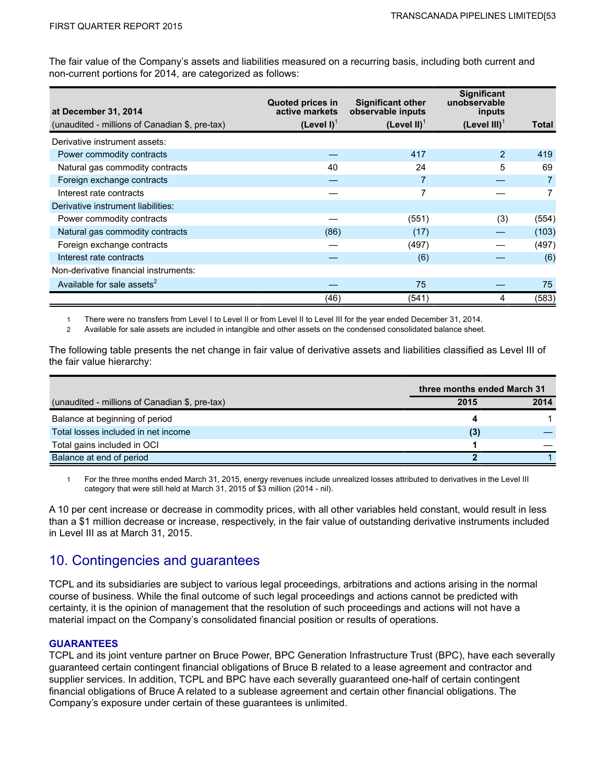The fair value of the Company's assets and liabilities measured on a recurring basis, including both current and non-current portions for 2014, are categorized as follows:

| at December 31, 2014                           | <b>Quoted prices in</b><br>active markets | <b>Significant other</b><br>observable inputs | <b>Significant</b><br>unobservable<br>inputs |       |
|------------------------------------------------|-------------------------------------------|-----------------------------------------------|----------------------------------------------|-------|
| (unaudited - millions of Canadian \$, pre-tax) | (Level I) $1$                             | (Level II) $1$                                | (Level $III$ ) <sup>1</sup>                  | Total |
| Derivative instrument assets:                  |                                           |                                               |                                              |       |
| Power commodity contracts                      |                                           | 417                                           | $\overline{2}$                               | 419   |
| Natural gas commodity contracts                | 40                                        | 24                                            | 5                                            | 69    |
| Foreign exchange contracts                     |                                           | 7                                             |                                              |       |
| Interest rate contracts                        |                                           | 7                                             |                                              | 7     |
| Derivative instrument liabilities:             |                                           |                                               |                                              |       |
| Power commodity contracts                      |                                           | (551)                                         | (3)                                          | (554) |
| Natural gas commodity contracts                | (86)                                      | (17)                                          |                                              | (103) |
| Foreign exchange contracts                     |                                           | (497)                                         |                                              | (497) |
| Interest rate contracts                        |                                           | (6)                                           |                                              | (6)   |
| Non-derivative financial instruments:          |                                           |                                               |                                              |       |
| Available for sale assets <sup>2</sup>         |                                           | 75                                            |                                              | 75    |
|                                                | (46)                                      | (541)                                         | 4                                            | (583) |

1 There were no transfers from Level I to Level II or from Level II to Level III for the year ended December 31, 2014.

2 Available for sale assets are included in intangible and other assets on the condensed consolidated balance sheet.

The following table presents the net change in fair value of derivative assets and liabilities classified as Level III of the fair value hierarchy:

|                                                | three months ended March 31 |      |
|------------------------------------------------|-----------------------------|------|
| (unaudited - millions of Canadian \$, pre-tax) | 2015                        | 2014 |
| Balance at beginning of period                 | 4                           |      |
| Total losses included in net income            | (3)                         |      |
| Total gains included in OCI                    |                             |      |
| Balance at end of period                       |                             |      |

1 For the three months ended March 31, 2015, energy revenues include unrealized losses attributed to derivatives in the Level III category that were still held at March 31, 2015 of \$3 million (2014 - nil).

A 10 per cent increase or decrease in commodity prices, with all other variables held constant, would result in less than a \$1 million decrease or increase, respectively, in the fair value of outstanding derivative instruments included in Level III as at March 31, 2015.

### 10. Contingencies and guarantees

TCPL and its subsidiaries are subject to various legal proceedings, arbitrations and actions arising in the normal course of business. While the final outcome of such legal proceedings and actions cannot be predicted with certainty, it is the opinion of management that the resolution of such proceedings and actions will not have a material impact on the Company's consolidated financial position or results of operations.

### **GUARANTEES**

TCPL and its joint venture partner on Bruce Power, BPC Generation Infrastructure Trust (BPC), have each severally guaranteed certain contingent financial obligations of Bruce B related to a lease agreement and contractor and supplier services. In addition, TCPL and BPC have each severally guaranteed one-half of certain contingent financial obligations of Bruce A related to a sublease agreement and certain other financial obligations. The Company's exposure under certain of these guarantees is unlimited.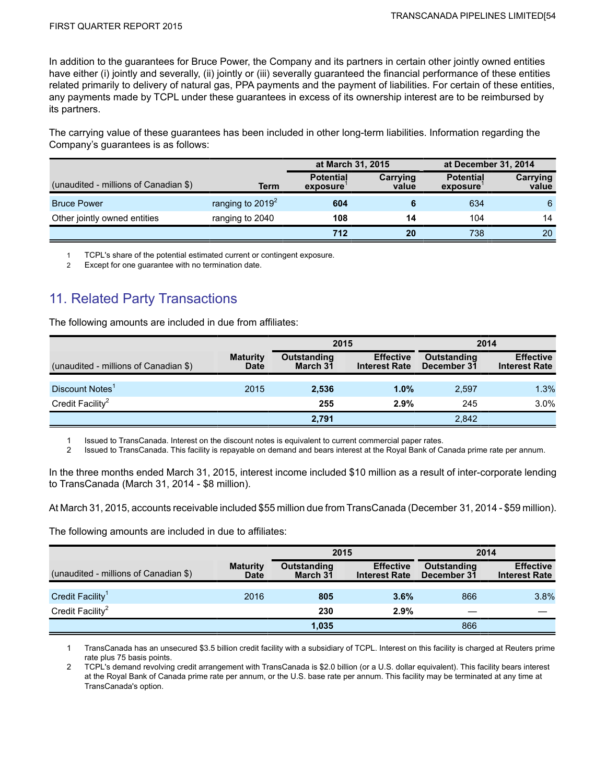In addition to the guarantees for Bruce Power, the Company and its partners in certain other jointly owned entities have either (i) jointly and severally, (ii) jointly or (iii) severally guaranteed the financial performance of these entities related primarily to delivery of natural gas, PPA payments and the payment of liabilities. For certain of these entities, any payments made by TCPL under these guarantees in excess of its ownership interest are to be reimbursed by its partners.

The carrying value of these guarantees has been included in other long-term liabilities. Information regarding the Company's guarantees is as follows:

|                                       |                     | at March 31, 2015            |                   | at December 31, 2014         |                   |
|---------------------------------------|---------------------|------------------------------|-------------------|------------------------------|-------------------|
| (unaudited - millions of Canadian \$) | Term                | <b>Potential</b><br>exposure | Carrying<br>value | <b>Potential</b><br>exposure | Carrying<br>value |
| <b>Bruce Power</b>                    | ranging to $2019^2$ | 604                          |                   | 634                          | 6                 |
| Other jointly owned entities          | ranging to 2040     | 108                          | 14                | 104                          | 14                |
|                                       |                     | 712                          | 20                | 738                          | 20                |

1 TCPL's share of the potential estimated current or contingent exposure.

2 Except for one guarantee with no termination date.

# 11. Related Party Transactions

The following amounts are included in due from affiliates:

|                                       |                                | 2015                           |                                          | 2014                       |                                          |
|---------------------------------------|--------------------------------|--------------------------------|------------------------------------------|----------------------------|------------------------------------------|
| (unaudited - millions of Canadian \$) | <b>Maturity</b><br><b>Date</b> | <b>Outstanding</b><br>March 31 | <b>Effective</b><br><b>Interest Rate</b> | Outstanding<br>December 31 | <b>Effective</b><br><b>Interest Rate</b> |
|                                       |                                |                                |                                          |                            |                                          |
| Discount Notes <sup>1</sup>           | 2015                           | 2,536                          | 1.0%                                     | 2,597                      | 1.3%                                     |
| Credit Facility <sup>2</sup>          |                                | 255                            | 2.9%                                     | 245                        | 3.0%                                     |
|                                       |                                | 2.791                          |                                          | 2.842                      |                                          |

Issued to TransCanada. Interest on the discount notes is equivalent to current commercial paper rates.

2 Issued to TransCanada. This facility is repayable on demand and bears interest at the Royal Bank of Canada prime rate per annum.

In the three months ended March 31, 2015, interest income included \$10 million as a result of inter-corporate lending to TransCanada (March 31, 2014 - \$8 million).

At March 31, 2015, accounts receivable included \$55 million due from TransCanada (December 31, 2014 - \$59 million).

The following amounts are included in due to affiliates:

|                                       |                                | 2015                    |                                          | 2014                       |                                          |
|---------------------------------------|--------------------------------|-------------------------|------------------------------------------|----------------------------|------------------------------------------|
| (unaudited - millions of Canadian \$) | <b>Maturity</b><br><b>Date</b> | Outstanding<br>March 31 | <b>Effective</b><br><b>Interest Rate</b> | Outstanding<br>December 31 | <b>Effective</b><br><b>Interest Rate</b> |
|                                       |                                |                         |                                          |                            |                                          |
| Credit Facility <sup>1</sup>          | 2016                           | 805                     | 3.6%                                     | 866                        | 3.8%                                     |
| Credit Facility <sup>2</sup>          |                                | 230                     | 2.9%                                     |                            |                                          |
|                                       |                                | 1,035                   |                                          | 866                        |                                          |

1 TransCanada has an unsecured \$3.5 billion credit facility with a subsidiary of TCPL. Interest on this facility is charged at Reuters prime rate plus 75 basis points.

2 TCPL's demand revolving credit arrangement with TransCanada is \$2.0 billion (or a U.S. dollar equivalent). This facility bears interest at the Royal Bank of Canada prime rate per annum, or the U.S. base rate per annum. This facility may be terminated at any time at TransCanada's option.